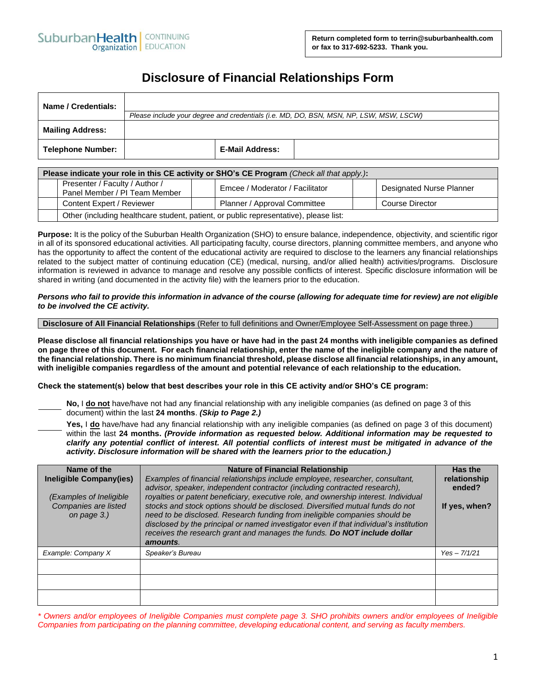# **Disclosure of Financial Relationships Form**

| Name / Credentials:      |                                                                                        |                 |  |  |  |  |
|--------------------------|----------------------------------------------------------------------------------------|-----------------|--|--|--|--|
|                          | Please include your degree and credentials (i.e. MD, DO, BSN, MSN, NP, LSW, MSW, LSCW) |                 |  |  |  |  |
| <b>Mailing Address:</b>  |                                                                                        |                 |  |  |  |  |
| <b>Telephone Number:</b> |                                                                                        | E-Mail Address: |  |  |  |  |

| Please indicate your role in this CE activity or SHO's CE Program (Check all that apply.): |                                                                                       |  |                                 |  |                          |  |
|--------------------------------------------------------------------------------------------|---------------------------------------------------------------------------------------|--|---------------------------------|--|--------------------------|--|
|                                                                                            | Presenter / Faculty / Author /<br>Panel Member / PI Team Member                       |  | Emcee / Moderator / Facilitator |  | Designated Nurse Planner |  |
|                                                                                            | Content Expert / Reviewer                                                             |  | Planner / Approval Committee    |  | Course Director          |  |
|                                                                                            | Other (including healthcare student, patient, or public representative), please list: |  |                                 |  |                          |  |

**Purpose:** It is the policy of the Suburban Health Organization (SHO) to ensure balance, independence, objectivity, and scientific rigor in all of its sponsored educational activities. All participating faculty, course directors, planning committee members, and anyone who has the opportunity to affect the content of the educational activity are required to disclose to the learners any financial relationships related to the subject matter of continuing education (CE) (medical, nursing, and/or allied health) activities/programs. Disclosure information is reviewed in advance to manage and resolve any possible conflicts of interest. Specific disclosure information will be shared in writing (and documented in the activity file) with the learners prior to the education.

# *Persons who fail to provide this information in advance of the course (allowing for adequate time for review) are not eligible to be involved the CE activity.*

### **Disclosure of All Financial Relationships** (Refer to full definitions and Owner/Employee Self-Assessment on page three.)

**Please disclose all financial relationships you have or have had in the past 24 months with ineligible companies as defined on page three of this document. For each financial relationship, enter the name of the ineligible company and the nature of the financial relationship. There is no minimum financial threshold, please disclose all financial relationships, in any amount, with ineligible companies regardless of the amount and potential relevance of each relationship to the education.**

### **Check the statement(s) below that best describes your role in this CE activity and/or SHO's CE program:**

**No,** I **do not** have/have not had any financial relationship with any ineligible companies (as defined on page 3 of this document) within the last **24 months**. *(Skip to Page 2.)*

**Yes,** I **do** have/have had any financial relationship with any ineligible companies (as defined on page 3 of this document) within the last **24 months.** *(Provide information as requested below. Additional information may be requested to clarify any potential conflict of interest. All potential conflicts of interest must be mitigated in advance of the activity. Disclosure information will be shared with the learners prior to the education.)* 

| Name of the<br>Ineligible Company(ies)<br>(Examples of Ineligible)<br>Companies are listed<br>on page 3.) | <b>Nature of Financial Relationship</b><br>Examples of financial relationships include employee, researcher, consultant,<br>advisor, speaker, independent contractor (including contracted research),<br>royalties or patent beneficiary, executive role, and ownership interest. Individual<br>stocks and stock options should be disclosed. Diversified mutual funds do not<br>need to be disclosed. Research funding from ineligible companies should be<br>disclosed by the principal or named investigator even if that individual's institution<br>receives the research grant and manages the funds. Do NOT include dollar<br>amounts. | Has the<br>relationship<br>ended?<br>If yes, when? |
|-----------------------------------------------------------------------------------------------------------|-----------------------------------------------------------------------------------------------------------------------------------------------------------------------------------------------------------------------------------------------------------------------------------------------------------------------------------------------------------------------------------------------------------------------------------------------------------------------------------------------------------------------------------------------------------------------------------------------------------------------------------------------|----------------------------------------------------|
| Example: Company X                                                                                        | Speaker's Bureau                                                                                                                                                                                                                                                                                                                                                                                                                                                                                                                                                                                                                              | $Yes - 7/1/21$                                     |
|                                                                                                           |                                                                                                                                                                                                                                                                                                                                                                                                                                                                                                                                                                                                                                               |                                                    |
|                                                                                                           |                                                                                                                                                                                                                                                                                                                                                                                                                                                                                                                                                                                                                                               |                                                    |
|                                                                                                           |                                                                                                                                                                                                                                                                                                                                                                                                                                                                                                                                                                                                                                               |                                                    |

*\* Owners and/or employees of Ineligible Companies must complete page 3. SHO prohibits owners and/or employees of Ineligible Companies from participating on the planning committee, developing educational content, and serving as faculty members.*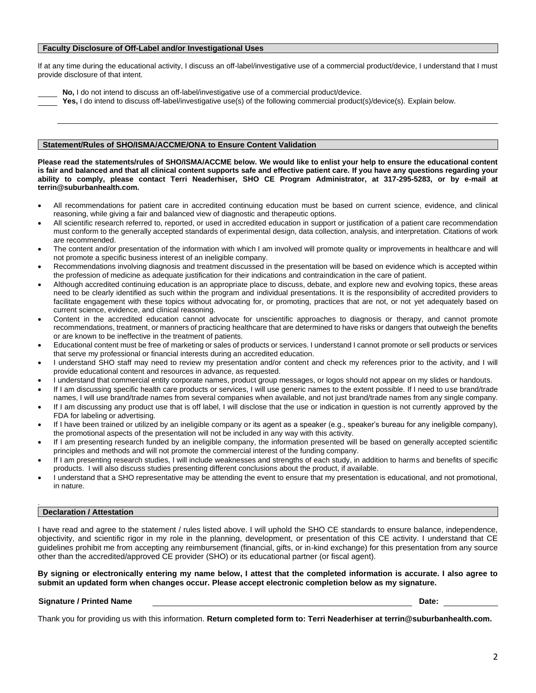# **Faculty Disclosure of Off-Label and/or Investigational Uses**

If at any time during the educational activity, I discuss an off-label/investigative use of a commercial product/device, I understand that I must provide disclosure of that intent.

**No,** I do not intend to discuss an off-label/investigative use of a commercial product/device.

Yes, I do intend to discuss off-label/investigative use(s) of the following commercial product(s)/device(s). Explain below.

# **Statement/Rules of SHO/ISMA/ACCME/ONA to Ensure Content Validation**

**Please read the statements/rules of SHO/ISMA/ACCME below. We would like to enlist your help to ensure the educational content is fair and balanced and that all clinical content supports safe and effective patient care. If you have any questions regarding your ability to comply, please contact Terri Neaderhiser, SHO CE Program Administrator, at 317-295-5283, or by e-mail at terrin@suburbanhealth.com.** 

- All recommendations for patient care in accredited continuing education must be based on current science, evidence, and clinical reasoning, while giving a fair and balanced view of diagnostic and therapeutic options.
- All scientific research referred to, reported, or used in accredited education in support or justification of a patient care recommendation must conform to the generally accepted standards of experimental design, data collection, analysis, and interpretation. Citations of work are recommended.
- The content and/or presentation of the information with which I am involved will promote quality or improvements in healthcare and will not promote a specific business interest of an ineligible company.
- Recommendations involving diagnosis and treatment discussed in the presentation will be based on evidence which is accepted within the profession of medicine as adequate justification for their indications and contraindication in the care of patient.
- Although accredited continuing education is an appropriate place to discuss, debate, and explore new and evolving topics, these areas need to be clearly identified as such within the program and individual presentations. It is the responsibility of accredited providers to facilitate engagement with these topics without advocating for, or promoting, practices that are not, or not yet adequately based on current science, evidence, and clinical reasoning.
- Content in the accredited education cannot advocate for unscientific approaches to diagnosis or therapy, and cannot promote recommendations, treatment, or manners of practicing healthcare that are determined to have risks or dangers that outweigh the benefits or are known to be ineffective in the treatment of patients.
- Educational content must be free of marketing or sales of products or services. I understand I cannot promote or sell products or services that serve my professional or financial interests during an accredited education.
- I understand SHO staff may need to review my presentation and/or content and check my references prior to the activity, and I will provide educational content and resources in advance, as requested.
- I understand that commercial entity corporate names, product group messages, or logos should not appear on my slides or handouts.
- If I am discussing specific health care products or services, I will use generic names to the extent possible. If I need to use brand/trade names, I will use brand/trade names from several companies when available, and not just brand/trade names from any single company.
- If I am discussing any product use that is off label, I will disclose that the use or indication in question is not currently approved by the FDA for labeling or advertising.
- If I have been trained or utilized by an ineligible company or its agent as a speaker (e.g., speaker's bureau for any ineligible company), the promotional aspects of the presentation will not be included in any way with this activity.
- If I am presenting research funded by an ineligible company, the information presented will be based on generally accepted scientific principles and methods and will not promote the commercial interest of the funding company.
- If I am presenting research studies, I will include weaknesses and strengths of each study, in addition to harms and benefits of specific products. I will also discuss studies presenting different conclusions about the product, if available.
- I understand that a SHO representative may be attending the event to ensure that my presentation is educational, and not promotional, in nature.

# **Declaration / Attestation**

.

I have read and agree to the statement / rules listed above. I will uphold the SHO CE standards to ensure balance, independence, objectivity, and scientific rigor in my role in the planning, development, or presentation of this CE activity. I understand that CE guidelines prohibit me from accepting any reimbursement (financial, gifts, or in-kind exchange) for this presentation from any source other than the accredited/approved CE provider (SHO) or its educational partner (or fiscal agent).

**By signing or electronically entering my name below, I attest that the completed information is accurate. I also agree to submit an updated form when changes occur. Please accept electronic completion below as my signature.**

### **Signature / Printed Name Date:**

Thank you for providing us with this information. **Return completed form to: Terri Neaderhiser at terrin@suburbanhealth.com.**